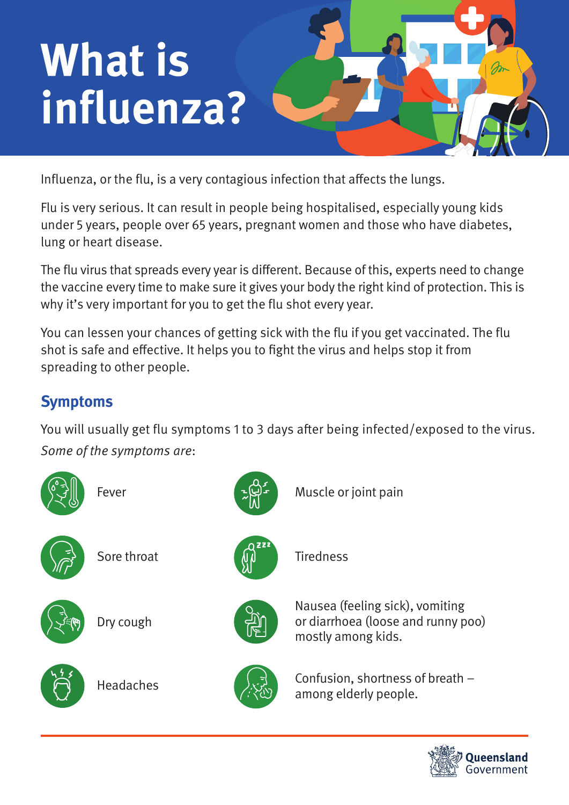# **What is influenza?**

Influenza, or the flu, is a very contagious infection that affects the lungs.

Flu is very serious. It can result in people being hospitalised, especially young kids under 5 years, people over 65 years, pregnant women and those who have diabetes, lung or heart disease.

The flu virus that spreads every year is different. Because of this, experts need to change the vaccine every time to make sure it gives your body the right kind of protection. This is why it's very important for you to get the flu shot every year.

You can lessen your chances of getting sick with the flu if you get vaccinated. The flu shot is safe and effective. It helps you to fight the virus and helps stop it from spreading to other people.

## **Symptoms**

You will usually get flu symptoms 1 to 3 days after being infected/exposed to the virus. Some of the symptoms are:



Nausea (feeling sick), vomiting or diarrhoea (loose and runny poo) mostly among kids.

Confusion, shortness of breath – among elderly people.